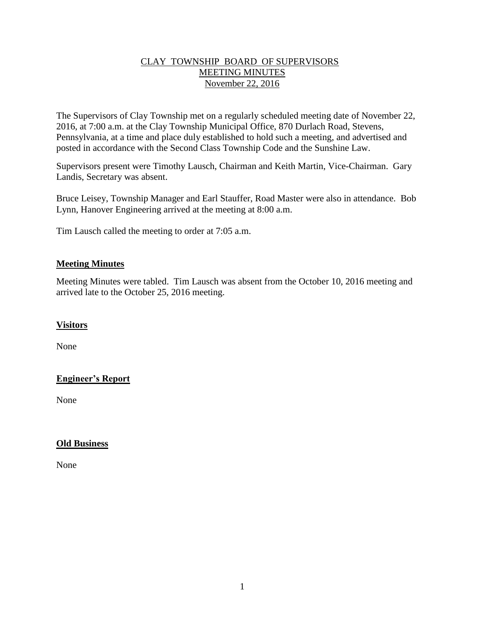#### CLAY TOWNSHIP BOARD OF SUPERVISORS MEETING MINUTES November 22, 2016

The Supervisors of Clay Township met on a regularly scheduled meeting date of November 22, 2016, at 7:00 a.m. at the Clay Township Municipal Office, 870 Durlach Road, Stevens, Pennsylvania, at a time and place duly established to hold such a meeting, and advertised and posted in accordance with the Second Class Township Code and the Sunshine Law.

Supervisors present were Timothy Lausch, Chairman and Keith Martin, Vice-Chairman. Gary Landis, Secretary was absent.

Bruce Leisey, Township Manager and Earl Stauffer, Road Master were also in attendance. Bob Lynn, Hanover Engineering arrived at the meeting at 8:00 a.m.

Tim Lausch called the meeting to order at 7:05 a.m.

#### **Meeting Minutes**

Meeting Minutes were tabled. Tim Lausch was absent from the October 10, 2016 meeting and arrived late to the October 25, 2016 meeting.

## **Visitors**

None

## **Engineer's Report**

None

## **Old Business**

None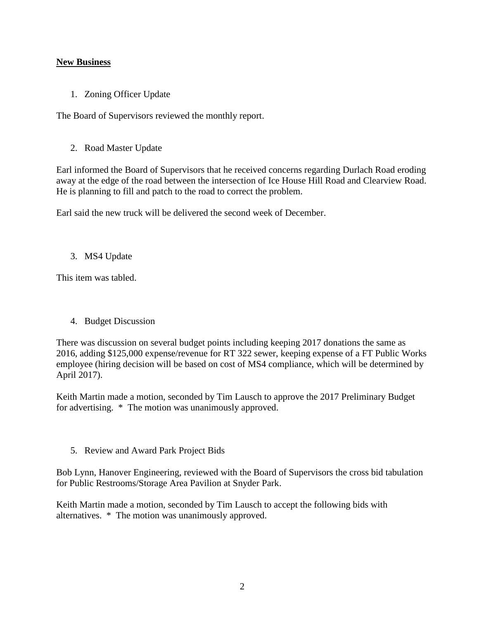## **New Business**

1. Zoning Officer Update

The Board of Supervisors reviewed the monthly report.

2. Road Master Update

Earl informed the Board of Supervisors that he received concerns regarding Durlach Road eroding away at the edge of the road between the intersection of Ice House Hill Road and Clearview Road. He is planning to fill and patch to the road to correct the problem.

Earl said the new truck will be delivered the second week of December.

3. MS4 Update

This item was tabled.

4. Budget Discussion

There was discussion on several budget points including keeping 2017 donations the same as 2016, adding \$125,000 expense/revenue for RT 322 sewer, keeping expense of a FT Public Works employee (hiring decision will be based on cost of MS4 compliance, which will be determined by April 2017).

Keith Martin made a motion, seconded by Tim Lausch to approve the 2017 Preliminary Budget for advertising. \* The motion was unanimously approved.

5. Review and Award Park Project Bids

Bob Lynn, Hanover Engineering, reviewed with the Board of Supervisors the cross bid tabulation for Public Restrooms/Storage Area Pavilion at Snyder Park.

Keith Martin made a motion, seconded by Tim Lausch to accept the following bids with alternatives. \* The motion was unanimously approved.